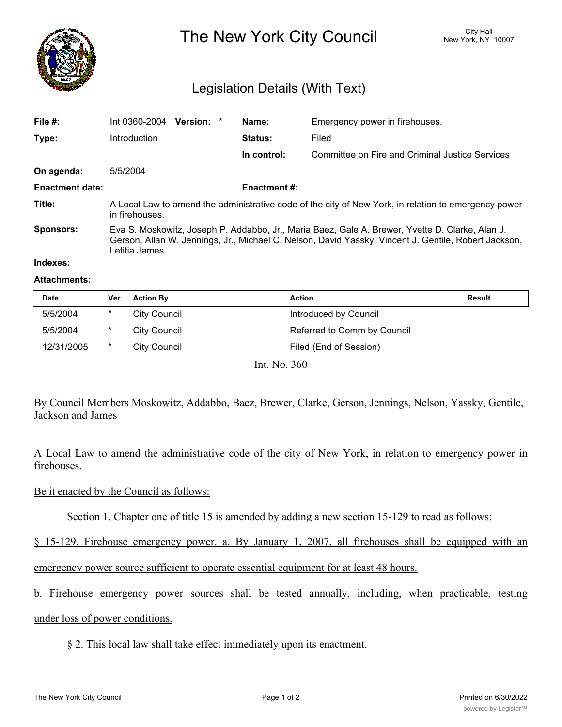

The New York City Council New York, NY 10007

## Legislation Details (With Text)

| File $#$ :             | Int 0360-2004                                                                                                                                                                                                            | <b>Version:</b><br>$\star$ | Name:               | Emergency power in firehouses.                  |  |  |
|------------------------|--------------------------------------------------------------------------------------------------------------------------------------------------------------------------------------------------------------------------|----------------------------|---------------------|-------------------------------------------------|--|--|
| Type:                  | Introduction                                                                                                                                                                                                             |                            | Status:             | Filed                                           |  |  |
|                        |                                                                                                                                                                                                                          |                            | In control:         | Committee on Fire and Criminal Justice Services |  |  |
| On agenda:             | 5/5/2004                                                                                                                                                                                                                 |                            |                     |                                                 |  |  |
| <b>Enactment date:</b> |                                                                                                                                                                                                                          |                            | <b>Enactment #:</b> |                                                 |  |  |
| Title:                 | A Local Law to amend the administrative code of the city of New York, in relation to emergency power<br>in firehouses.                                                                                                   |                            |                     |                                                 |  |  |
| <b>Sponsors:</b>       | Eva S. Moskowitz, Joseph P. Addabbo, Jr., Maria Baez, Gale A. Brewer, Yvette D. Clarke, Alan J.<br>Gerson, Allan W. Jennings, Jr., Michael C. Nelson, David Yassky, Vincent J. Gentile, Robert Jackson,<br>Letitia James |                            |                     |                                                 |  |  |
|                        |                                                                                                                                                                                                                          |                            |                     |                                                 |  |  |

# **Indexes:**

#### **Attachments:**

| Date       | Ver. | <b>Action By</b> | <b>Action</b>               | <b>Result</b> |
|------------|------|------------------|-----------------------------|---------------|
| 5/5/2004   | *    | City Council     | Introduced by Council       |               |
| 5/5/2004   | *    | City Council     | Referred to Comm by Council |               |
| 12/31/2005 | *    | City Council     | Filed (End of Session)      |               |
|            |      |                  |                             |               |

Int. No. 360

By Council Members Moskowitz, Addabbo, Baez, Brewer, Clarke, Gerson, Jennings, Nelson, Yassky, Gentile, Jackson and James

A Local Law to amend the administrative code of the city of New York, in relation to emergency power in firehouses.

### Be it enacted by the Council as follows:

Section 1. Chapter one of title 15 is amended by adding a new section 15-129 to read as follows:

§ 15-129. Firehouse emergency power. a. By January 1, 2007, all firehouses shall be equipped with an

emergency power source sufficient to operate essential equipment for at least 48 hours.

b. Firehouse emergency power sources shall be tested annually, including, when practicable, testing under loss of power conditions.

§ 2. This local law shall take effect immediately upon its enactment.